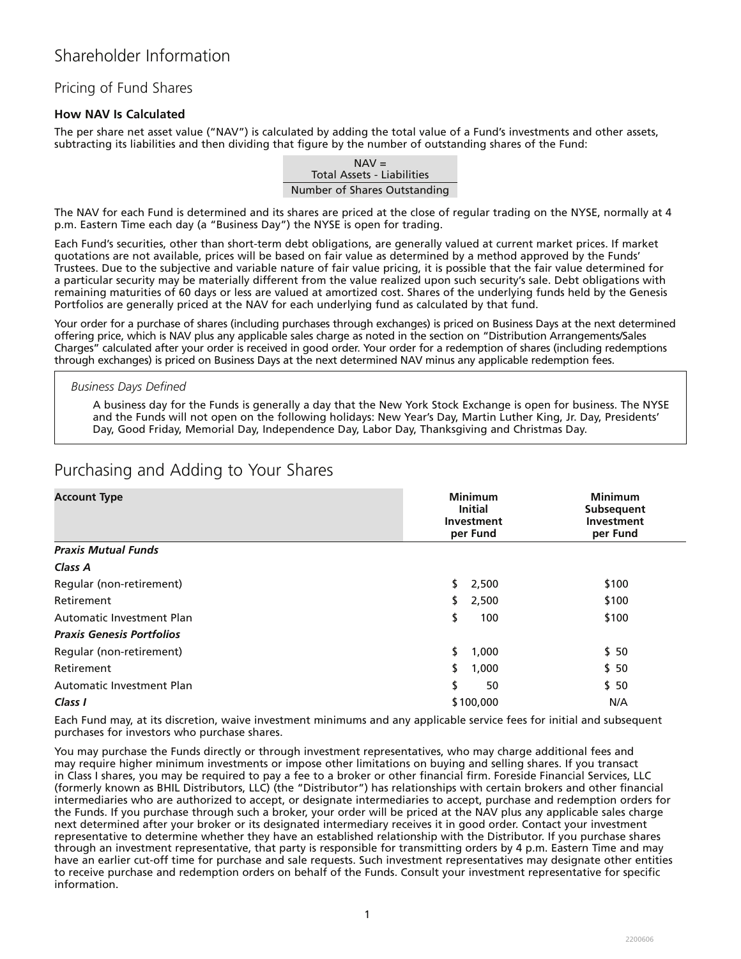## Pricing of Fund Shares

### **How NAV Is Calculated**

The per share net asset value ("NAV") is calculated by adding the total value of a Fund's investments and other assets, subtracting its liabilities and then dividing that figure by the number of outstanding shares of the Fund:

> $NAV =$ Total Assets - Liabilities Number of Shares Outstanding

The NAV for each Fund is determined and its shares are priced at the close of regular trading on the NYSE, normally at 4 p.m. Eastern Time each day (a "Business Day") the NYSE is open for trading.

Each Fund's securities, other than short-term debt obligations, are generally valued at current market prices. If market quotations are not available, prices will be based on fair value as determined by a method approved by the Funds' Trustees. Due to the subjective and variable nature of fair value pricing, it is possible that the fair value determined for a particular security may be materially different from the value realized upon such security's sale. Debt obligations with remaining maturities of 60 days or less are valued at amortized cost. Shares of the underlying funds held by the Genesis Portfolios are generally priced at the NAV for each underlying fund as calculated by that fund.

Your order for a purchase of shares (including purchases through exchanges) is priced on Business Days at the next determined offering price, which is NAV plus any applicable sales charge as noted in the section on "Distribution Arrangements/Sales Charges" calculated after your order is received in good order. Your order for a redemption of shares (including redemptions through exchanges) is priced on Business Days at the next determined NAV minus any applicable redemption fees.

#### *Business Days Defined*

A business day for the Funds is generally a day that the New York Stock Exchange is open for business. The NYSE and the Funds will not open on the following holidays: New Year's Day, Martin Luther King, Jr. Day, Presidents' Day, Good Friday, Memorial Day, Independence Day, Labor Day, Thanksgiving and Christmas Day.

| <b>Account Type</b>              | <b>Minimum</b><br><b>Initial</b><br>Investment<br>per Fund | <b>Minimum</b><br>Subsequent<br><b>Investment</b><br>per Fund |
|----------------------------------|------------------------------------------------------------|---------------------------------------------------------------|
| <b>Praxis Mutual Funds</b>       |                                                            |                                                               |
| Class A                          |                                                            |                                                               |
| Regular (non-retirement)         | \$.<br>2,500                                               | \$100                                                         |
| Retirement                       | \$<br>2,500                                                | \$100                                                         |
| Automatic Investment Plan        | \$<br>100                                                  | \$100                                                         |
| <b>Praxis Genesis Portfolios</b> |                                                            |                                                               |
| Regular (non-retirement)         | \$<br>1,000                                                | \$50                                                          |
| Retirement                       | \$<br>1,000                                                | \$50                                                          |
| <b>Automatic Investment Plan</b> | \$<br>50                                                   | \$50                                                          |
| Class I                          | \$100,000                                                  | N/A                                                           |

# Purchasing and Adding to Your Shares

Each Fund may, at its discretion, waive investment minimums and any applicable service fees for initial and subsequent purchases for investors who purchase shares.

You may purchase the Funds directly or through investment representatives, who may charge additional fees and may require higher minimum investments or impose other limitations on buying and selling shares. If you transact in Class I shares, you may be required to pay a fee to a broker or other financial firm. Foreside Financial Services, LLC (formerly known as BHIL Distributors, LLC) (the "Distributor") has relationships with certain brokers and other financial intermediaries who are authorized to accept, or designate intermediaries to accept, purchase and redemption orders for the Funds. If you purchase through such a broker, your order will be priced at the NAV plus any applicable sales charge next determined after your broker or its designated intermediary receives it in good order. Contact your investment representative to determine whether they have an established relationship with the Distributor. If you purchase shares through an investment representative, that party is responsible for transmitting orders by 4 p.m. Eastern Time and may have an earlier cut-off time for purchase and sale requests. Such investment representatives may designate other entities to receive purchase and redemption orders on behalf of the Funds. Consult your investment representative for specific information.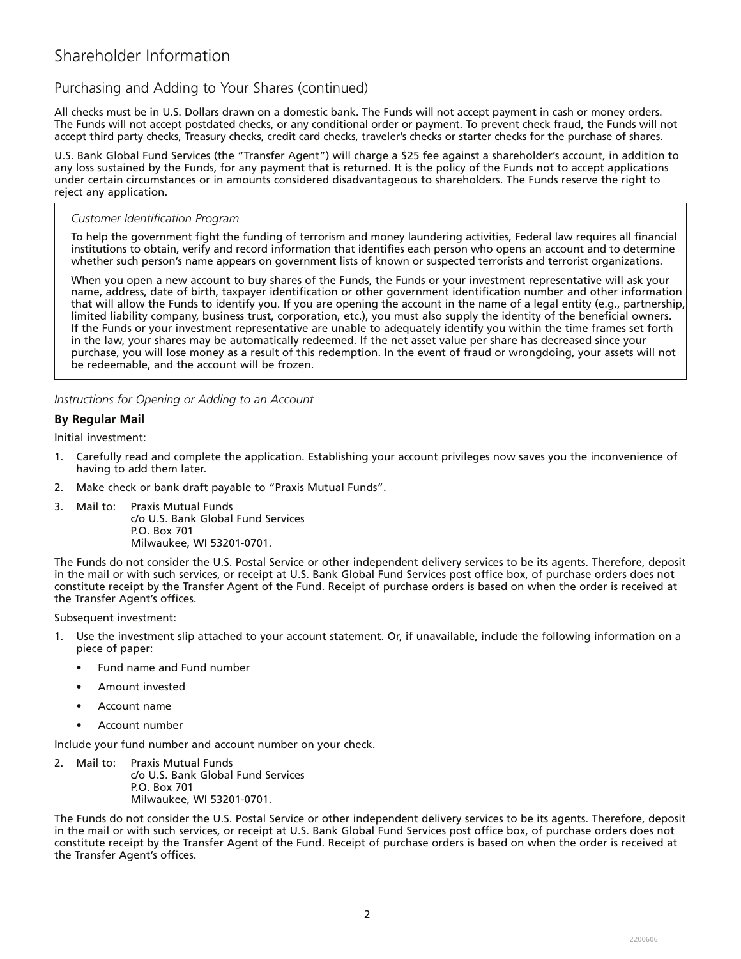## Purchasing and Adding to Your Shares (continued)

All checks must be in U.S. Dollars drawn on a domestic bank. The Funds will not accept payment in cash or money orders. The Funds will not accept postdated checks, or any conditional order or payment. To prevent check fraud, the Funds will not accept third party checks, Treasury checks, credit card checks, traveler's checks or starter checks for the purchase of shares.

U.S. Bank Global Fund Services (the "Transfer Agent") will charge a \$25 fee against a shareholder's account, in addition to any loss sustained by the Funds, for any payment that is returned. It is the policy of the Funds not to accept applications under certain circumstances or in amounts considered disadvantageous to shareholders. The Funds reserve the right to reject any application.

### *Customer Identification Program*

To help the government fight the funding of terrorism and money laundering activities, Federal law requires all financial institutions to obtain, verify and record information that identifies each person who opens an account and to determine whether such person's name appears on government lists of known or suspected terrorists and terrorist organizations.

When you open a new account to buy shares of the Funds, the Funds or your investment representative will ask your name, address, date of birth, taxpayer identification or other government identification number and other information that will allow the Funds to identify you. If you are opening the account in the name of a legal entity (e.g., partnership, limited liability company, business trust, corporation, etc.), you must also supply the identity of the beneficial owners. If the Funds or your investment representative are unable to adequately identify you within the time frames set forth in the law, your shares may be automatically redeemed. If the net asset value per share has decreased since your purchase, you will lose money as a result of this redemption. In the event of fraud or wrongdoing, your assets will not be redeemable, and the account will be frozen.

*Instructions for Opening or Adding to an Account* 

### **By Regular Mail**

Initial investment:

- 1. Carefully read and complete the application. Establishing your account privileges now saves you the inconvenience of having to add them later.
- 2. Make check or bank draft payable to "Praxis Mutual Funds".
- 3. Mail to: Praxis Mutual Funds c/o U.S. Bank Global Fund Services P.O. Box 701 Milwaukee, WI 53201-0701.

The Funds do not consider the U.S. Postal Service or other independent delivery services to be its agents. Therefore, deposit in the mail or with such services, or receipt at U.S. Bank Global Fund Services post office box, of purchase orders does not constitute receipt by the Transfer Agent of the Fund. Receipt of purchase orders is based on when the order is received at the Transfer Agent's offices.

Subsequent investment:

- 1. Use the investment slip attached to your account statement. Or, if unavailable, include the following information on a piece of paper:
	- Fund name and Fund number
	- Amount invested
	- Account name
	- Account number

Include your fund number and account number on your check.

- 2. Mail to: Praxis Mutual Funds
	- c/o U.S. Bank Global Fund Services P.O. Box 701 Milwaukee, WI 53201-0701.

The Funds do not consider the U.S. Postal Service or other independent delivery services to be its agents. Therefore, deposit in the mail or with such services, or receipt at U.S. Bank Global Fund Services post office box, of purchase orders does not constitute receipt by the Transfer Agent of the Fund. Receipt of purchase orders is based on when the order is received at the Transfer Agent's offices.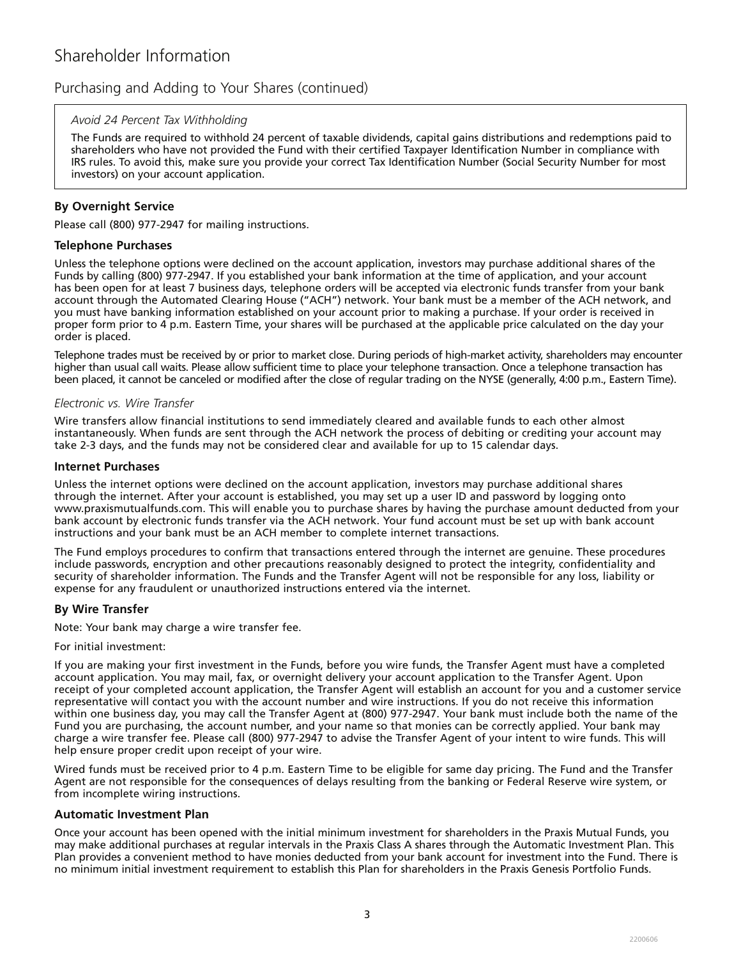## Purchasing and Adding to Your Shares (continued)

#### *Avoid 24 Percent Tax Withholding*

The Funds are required to withhold 24 percent of taxable dividends, capital gains distributions and redemptions paid to shareholders who have not provided the Fund with their certified Taxpayer Identification Number in compliance with IRS rules. To avoid this, make sure you provide your correct Tax Identification Number (Social Security Number for most investors) on your account application.

### **By Overnight Service**

Please call (800) 977-2947 for mailing instructions.

#### **Telephone Purchases**

Unless the telephone options were declined on the account application, investors may purchase additional shares of the Funds by calling (800) 977-2947. If you established your bank information at the time of application, and your account has been open for at least 7 business days, telephone orders will be accepted via electronic funds transfer from your bank account through the Automated Clearing House ("ACH") network. Your bank must be a member of the ACH network, and you must have banking information established on your account prior to making a purchase. If your order is received in proper form prior to 4 p.m. Eastern Time, your shares will be purchased at the applicable price calculated on the day your order is placed.

Telephone trades must be received by or prior to market close. During periods of high-market activity, shareholders may encounter higher than usual call waits. Please allow sufficient time to place your telephone transaction. Once a telephone transaction has been placed, it cannot be canceled or modified after the close of regular trading on the NYSE (generally, 4:00 p.m., Eastern Time).

#### *Electronic vs. Wire Transfer*

Wire transfers allow financial institutions to send immediately cleared and available funds to each other almost instantaneously. When funds are sent through the ACH network the process of debiting or crediting your account may take 2-3 days, and the funds may not be considered clear and available for up to 15 calendar days.

#### **Internet Purchases**

Unless the internet options were declined on the account application, investors may purchase additional shares through the internet. After your account is established, you may set up a user ID and password by logging onto www.praxismutualfunds.com. This will enable you to purchase shares by having the purchase amount deducted from your bank account by electronic funds transfer via the ACH network. Your fund account must be set up with bank account instructions and your bank must be an ACH member to complete internet transactions.

The Fund employs procedures to confirm that transactions entered through the internet are genuine. These procedures include passwords, encryption and other precautions reasonably designed to protect the integrity, confidentiality and security of shareholder information. The Funds and the Transfer Agent will not be responsible for any loss, liability or expense for any fraudulent or unauthorized instructions entered via the internet.

### **By Wire Transfer**

Note: Your bank may charge a wire transfer fee.

#### For initial investment:

If you are making your first investment in the Funds, before you wire funds, the Transfer Agent must have a completed account application. You may mail, fax, or overnight delivery your account application to the Transfer Agent. Upon receipt of your completed account application, the Transfer Agent will establish an account for you and a customer service representative will contact you with the account number and wire instructions. If you do not receive this information within one business day, you may call the Transfer Agent at (800) 977-2947. Your bank must include both the name of the Fund you are purchasing, the account number, and your name so that monies can be correctly applied. Your bank may charge a wire transfer fee. Please call (800) 977-2947 to advise the Transfer Agent of your intent to wire funds. This will help ensure proper credit upon receipt of your wire.

Wired funds must be received prior to 4 p.m. Eastern Time to be eligible for same day pricing. The Fund and the Transfer Agent are not responsible for the consequences of delays resulting from the banking or Federal Reserve wire system, or from incomplete wiring instructions.

#### **Automatic Investment Plan**

Once your account has been opened with the initial minimum investment for shareholders in the Praxis Mutual Funds, you may make additional purchases at regular intervals in the Praxis Class A shares through the Automatic Investment Plan. This Plan provides a convenient method to have monies deducted from your bank account for investment into the Fund. There is no minimum initial investment requirement to establish this Plan for shareholders in the Praxis Genesis Portfolio Funds.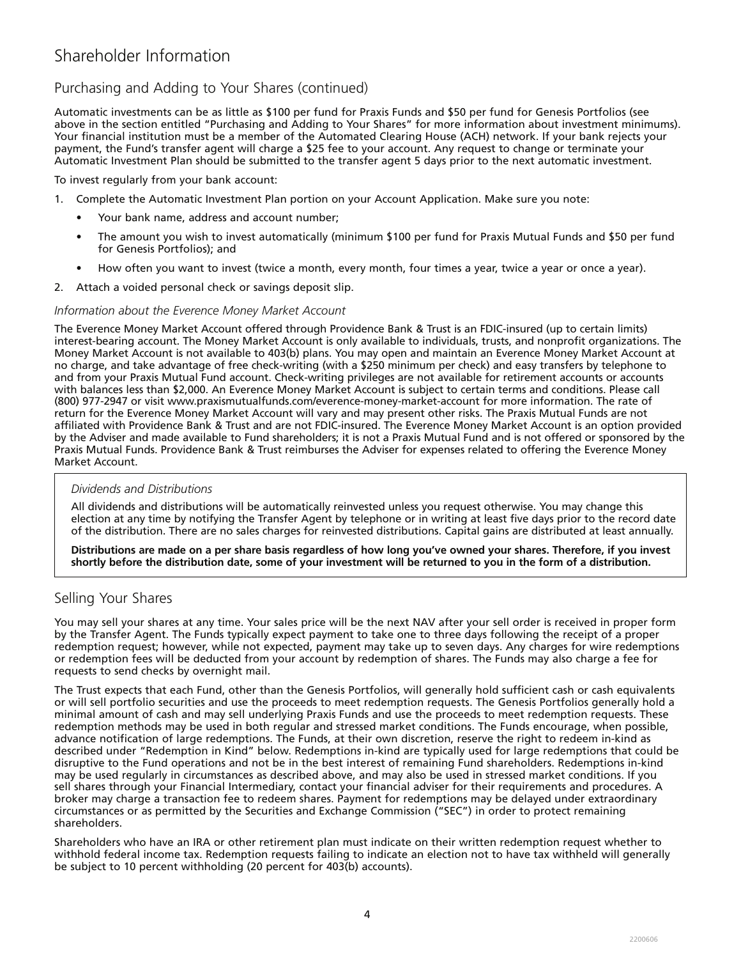## Purchasing and Adding to Your Shares (continued)

Automatic investments can be as little as \$100 per fund for Praxis Funds and \$50 per fund for Genesis Portfolios (see above in the section entitled "Purchasing and Adding to Your Shares" for more information about investment minimums). Your financial institution must be a member of the Automated Clearing House (ACH) network. If your bank rejects your payment, the Fund's transfer agent will charge a \$25 fee to your account. Any request to change or terminate your Automatic Investment Plan should be submitted to the transfer agent 5 days prior to the next automatic investment.

To invest regularly from your bank account:

- 1. Complete the Automatic Investment Plan portion on your Account Application. Make sure you note:
	- Your bank name, address and account number;
	- The amount you wish to invest automatically (minimum \$100 per fund for Praxis Mutual Funds and \$50 per fund for Genesis Portfolios); and
	- How often you want to invest (twice a month, every month, four times a year, twice a year or once a year).
- 2. Attach a voided personal check or savings deposit slip.

#### *Information about the Everence Money Market Account*

The Everence Money Market Account offered through Providence Bank & Trust is an FDIC-insured (up to certain limits) interest-bearing account. The Money Market Account is only available to individuals, trusts, and nonprofit organizations. The Money Market Account is not available to 403(b) plans. You may open and maintain an Everence Money Market Account at no charge, and take advantage of free check-writing (with a \$250 minimum per check) and easy transfers by telephone to and from your Praxis Mutual Fund account. Check-writing privileges are not available for retirement accounts or accounts with balances less than \$2,000. An Everence Money Market Account is subject to certain terms and conditions. Please call (800) 977-2947 or visit www.praxismutualfunds.com/everence-money-market-account for more information. The rate of return for the Everence Money Market Account will vary and may present other risks. The Praxis Mutual Funds are not affiliated with Providence Bank & Trust and are not FDIC-insured. The Everence Money Market Account is an option provided by the Adviser and made available to Fund shareholders; it is not a Praxis Mutual Fund and is not offered or sponsored by the Praxis Mutual Funds. Providence Bank & Trust reimburses the Adviser for expenses related to offering the Everence Money Market Account.

#### *Dividends and Distributions*

All dividends and distributions will be automatically reinvested unless you request otherwise. You may change this election at any time by notifying the Transfer Agent by telephone or in writing at least five days prior to the record date of the distribution. There are no sales charges for reinvested distributions. Capital gains are distributed at least annually.

**Distributions are made on a per share basis regardless of how long you've owned your shares. Therefore, if you invest shortly before the distribution date, some of your investment will be returned to you in the form of a distribution.** 

### Selling Your Shares

You may sell your shares at any time. Your sales price will be the next NAV after your sell order is received in proper form by the Transfer Agent. The Funds typically expect payment to take one to three days following the receipt of a proper redemption request; however, while not expected, payment may take up to seven days. Any charges for wire redemptions or redemption fees will be deducted from your account by redemption of shares. The Funds may also charge a fee for requests to send checks by overnight mail.

The Trust expects that each Fund, other than the Genesis Portfolios, will generally hold sufficient cash or cash equivalents or will sell portfolio securities and use the proceeds to meet redemption requests. The Genesis Portfolios generally hold a minimal amount of cash and may sell underlying Praxis Funds and use the proceeds to meet redemption requests. These redemption methods may be used in both regular and stressed market conditions. The Funds encourage, when possible, advance notification of large redemptions. The Funds, at their own discretion, reserve the right to redeem in-kind as described under "Redemption in Kind" below. Redemptions in-kind are typically used for large redemptions that could be disruptive to the Fund operations and not be in the best interest of remaining Fund shareholders. Redemptions in-kind may be used regularly in circumstances as described above, and may also be used in stressed market conditions. If you sell shares through your Financial Intermediary, contact your financial adviser for their requirements and procedures. A broker may charge a transaction fee to redeem shares. Payment for redemptions may be delayed under extraordinary circumstances or as permitted by the Securities and Exchange Commission ("SEC") in order to protect remaining shareholders.

Shareholders who have an IRA or other retirement plan must indicate on their written redemption request whether to withhold federal income tax. Redemption requests failing to indicate an election not to have tax withheld will generally be subject to 10 percent withholding (20 percent for 403(b) accounts).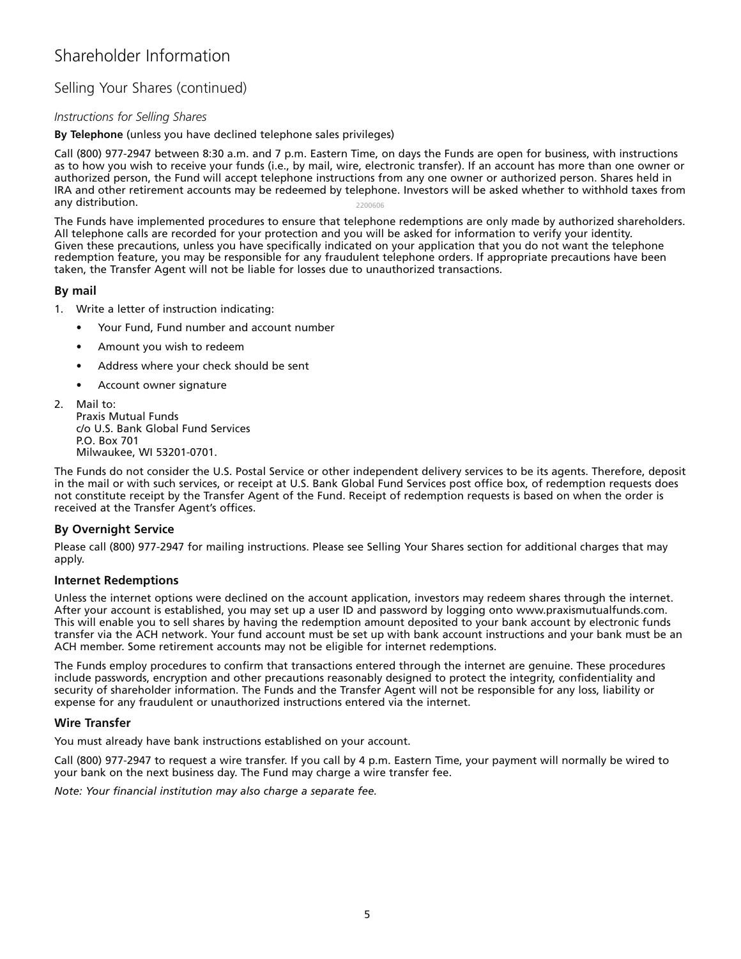## Selling Your Shares (continued)

### *Instructions for Selling Shares*

#### **By Telephone** (unless you have declined telephone sales privileges)

Call (800) 977-2947 between 8:30 a.m. and 7 p.m. Eastern Time, on days the Funds are open for business, with instructions as to how you wish to receive your funds (i.e., by mail, wire, electronic transfer). If an account has more than one owner or authorized person, the Fund will accept telephone instructions from any one owner or authorized person. Shares held in IRA and other retirement accounts may be redeemed by telephone. Investors will be asked whether to withhold taxes from any distribution. 2200606

The Funds have implemented procedures to ensure that telephone redemptions are only made by authorized shareholders. All telephone calls are recorded for your protection and you will be asked for information to verify your identity. Given these precautions, unless you have specifically indicated on your application that you do not want the telephone redemption feature, you may be responsible for any fraudulent telephone orders. If appropriate precautions have been taken, the Transfer Agent will not be liable for losses due to unauthorized transactions.

### **By mail**

- 1. Write a letter of instruction indicating:
	- Your Fund, Fund number and account number
	- Amount you wish to redeem
	- Address where your check should be sent
	- Account owner signature
- 2. Mail to:

Praxis Mutual Funds c/o U.S. Bank Global Fund Services P.O. Box 701 Milwaukee, WI 53201-0701.

The Funds do not consider the U.S. Postal Service or other independent delivery services to be its agents. Therefore, deposit in the mail or with such services, or receipt at U.S. Bank Global Fund Services post office box, of redemption requests does not constitute receipt by the Transfer Agent of the Fund. Receipt of redemption requests is based on when the order is received at the Transfer Agent's offices.

### **By Overnight Service**

Please call (800) 977-2947 for mailing instructions. Please see Selling Your Shares section for additional charges that may apply.

### **Internet Redemptions**

Unless the internet options were declined on the account application, investors may redeem shares through the internet. After your account is established, you may set up a user ID and password by logging onto www.praxismutualfunds.com. This will enable you to sell shares by having the redemption amount deposited to your bank account by electronic funds transfer via the ACH network. Your fund account must be set up with bank account instructions and your bank must be an ACH member. Some retirement accounts may not be eligible for internet redemptions.

The Funds employ procedures to confirm that transactions entered through the internet are genuine. These procedures include passwords, encryption and other precautions reasonably designed to protect the integrity, confidentiality and security of shareholder information. The Funds and the Transfer Agent will not be responsible for any loss, liability or expense for any fraudulent or unauthorized instructions entered via the internet.

### **Wire Transfer**

You must already have bank instructions established on your account.

Call (800) 977-2947 to request a wire transfer. If you call by 4 p.m. Eastern Time, your payment will normally be wired to your bank on the next business day. The Fund may charge a wire transfer fee.

*Note: Your financial institution may also charge a separate fee.*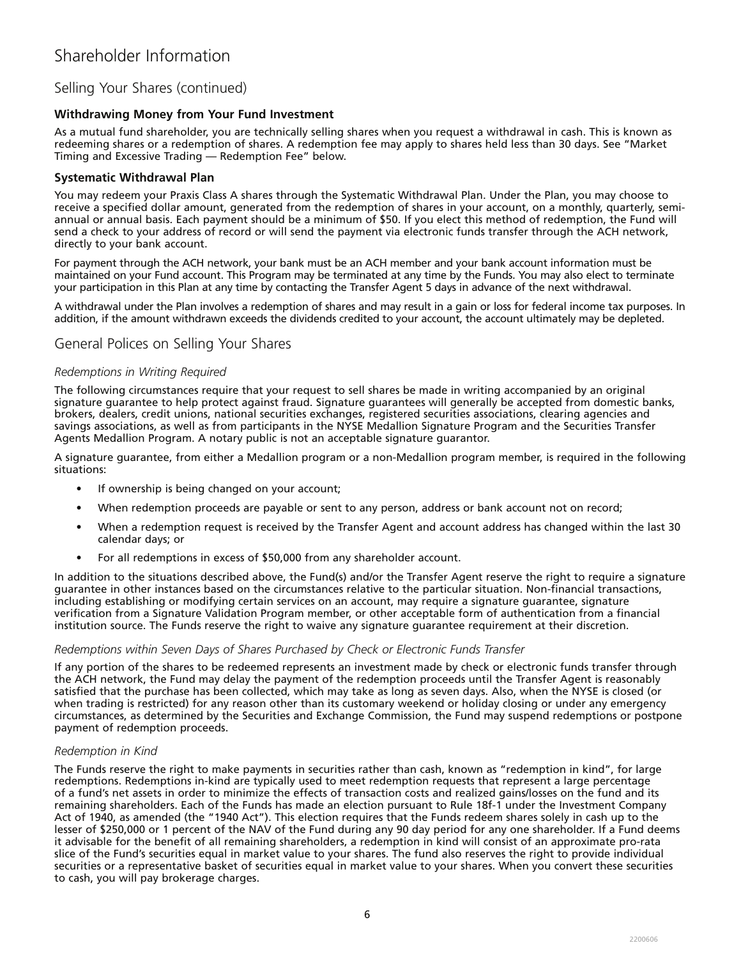## Selling Your Shares (continued)

### **Withdrawing Money from Your Fund Investment**

As a mutual fund shareholder, you are technically selling shares when you request a withdrawal in cash. This is known as redeeming shares or a redemption of shares. A redemption fee may apply to shares held less than 30 days. See "Market Timing and Excessive Trading — Redemption Fee" below.

### **Systematic Withdrawal Plan**

You may redeem your Praxis Class A shares through the Systematic Withdrawal Plan. Under the Plan, you may choose to receive a specified dollar amount, generated from the redemption of shares in your account, on a monthly, quarterly, semiannual or annual basis. Each payment should be a minimum of \$50. If you elect this method of redemption, the Fund will send a check to your address of record or will send the payment via electronic funds transfer through the ACH network, directly to your bank account.

For payment through the ACH network, your bank must be an ACH member and your bank account information must be maintained on your Fund account. This Program may be terminated at any time by the Funds. You may also elect to terminate your participation in this Plan at any time by contacting the Transfer Agent 5 days in advance of the next withdrawal.

A withdrawal under the Plan involves a redemption of shares and may result in a gain or loss for federal income tax purposes. In addition, if the amount withdrawn exceeds the dividends credited to your account, the account ultimately may be depleted.

### General Polices on Selling Your Shares

#### *Redemptions in Writing Required*

The following circumstances require that your request to sell shares be made in writing accompanied by an original signature guarantee to help protect against fraud. Signature guarantees will generally be accepted from domestic banks, brokers, dealers, credit unions, national securities exchanges, registered securities associations, clearing agencies and savings associations, as well as from participants in the NYSE Medallion Signature Program and the Securities Transfer Agents Medallion Program. A notary public is not an acceptable signature guarantor.

A signature guarantee, from either a Medallion program or a non-Medallion program member, is required in the following situations:

- If ownership is being changed on your account;
- When redemption proceeds are payable or sent to any person, address or bank account not on record;
- When a redemption request is received by the Transfer Agent and account address has changed within the last 30 calendar days; or
- For all redemptions in excess of \$50,000 from any shareholder account.

In addition to the situations described above, the Fund(s) and/or the Transfer Agent reserve the right to require a signature guarantee in other instances based on the circumstances relative to the particular situation. Non-financial transactions, including establishing or modifying certain services on an account, may require a signature guarantee, signature verification from a Signature Validation Program member, or other acceptable form of authentication from a financial institution source. The Funds reserve the right to waive any signature guarantee requirement at their discretion.

### *Redemptions within Seven Days of Shares Purchased by Check or Electronic Funds Transfer*

If any portion of the shares to be redeemed represents an investment made by check or electronic funds transfer through the ACH network, the Fund may delay the payment of the redemption proceeds until the Transfer Agent is reasonably satisfied that the purchase has been collected, which may take as long as seven days. Also, when the NYSE is closed (or when trading is restricted) for any reason other than its customary weekend or holiday closing or under any emergency circumstances, as determined by the Securities and Exchange Commission, the Fund may suspend redemptions or postpone payment of redemption proceeds.

### *Redemption in Kind*

The Funds reserve the right to make payments in securities rather than cash, known as "redemption in kind", for large redemptions. Redemptions in-kind are typically used to meet redemption requests that represent a large percentage of a fund's net assets in order to minimize the effects of transaction costs and realized gains/losses on the fund and its remaining shareholders. Each of the Funds has made an election pursuant to Rule 18f-1 under the Investment Company Act of 1940, as amended (the "1940 Act"). This election requires that the Funds redeem shares solely in cash up to the lesser of \$250,000 or 1 percent of the NAV of the Fund during any 90 day period for any one shareholder. If a Fund deems it advisable for the benefit of all remaining shareholders, a redemption in kind will consist of an approximate pro-rata slice of the Fund's securities equal in market value to your shares. The fund also reserves the right to provide individual securities or a representative basket of securities equal in market value to your shares. When you convert these securities to cash, you will pay brokerage charges.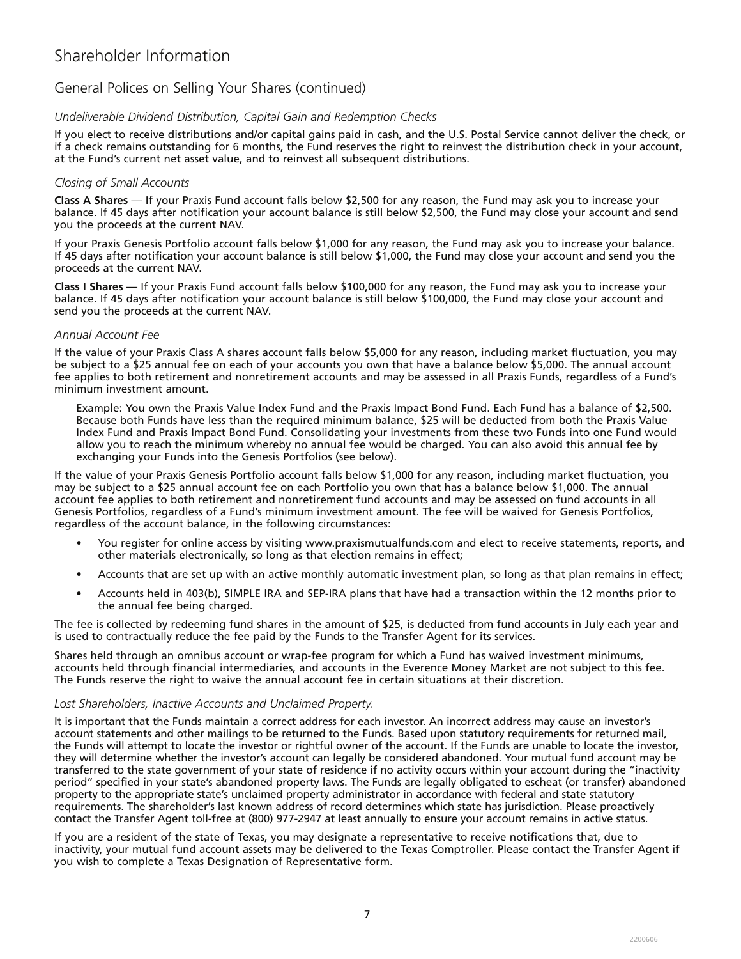## General Polices on Selling Your Shares (continued)

### *Undeliverable Dividend Distribution, Capital Gain and Redemption Checks*

If you elect to receive distributions and/or capital gains paid in cash, and the U.S. Postal Service cannot deliver the check, or if a check remains outstanding for 6 months, the Fund reserves the right to reinvest the distribution check in your account, at the Fund's current net asset value, and to reinvest all subsequent distributions.

### *Closing of Small Accounts*

**Class A Shares** — If your Praxis Fund account falls below \$2,500 for any reason, the Fund may ask you to increase your balance. If 45 days after notification your account balance is still below \$2,500, the Fund may close your account and send you the proceeds at the current NAV.

If your Praxis Genesis Portfolio account falls below \$1,000 for any reason, the Fund may ask you to increase your balance. If 45 days after notification your account balance is still below \$1,000, the Fund may close your account and send you the proceeds at the current NAV.

**Class I Shares** — If your Praxis Fund account falls below \$100,000 for any reason, the Fund may ask you to increase your balance. If 45 days after notification your account balance is still below \$100,000, the Fund may close your account and send you the proceeds at the current NAV.

### *Annual Account Fee*

If the value of your Praxis Class A shares account falls below \$5,000 for any reason, including market fluctuation, you may be subject to a \$25 annual fee on each of your accounts you own that have a balance below \$5,000. The annual account fee applies to both retirement and nonretirement accounts and may be assessed in all Praxis Funds, regardless of a Fund's minimum investment amount.

Example: You own the Praxis Value Index Fund and the Praxis Impact Bond Fund. Each Fund has a balance of \$2,500. Because both Funds have less than the required minimum balance, \$25 will be deducted from both the Praxis Value Index Fund and Praxis Impact Bond Fund. Consolidating your investments from these two Funds into one Fund would allow you to reach the minimum whereby no annual fee would be charged. You can also avoid this annual fee by exchanging your Funds into the Genesis Portfolios (see below).

If the value of your Praxis Genesis Portfolio account falls below \$1,000 for any reason, including market fluctuation, you may be subject to a \$25 annual account fee on each Portfolio you own that has a balance below \$1,000. The annual account fee applies to both retirement and nonretirement fund accounts and may be assessed on fund accounts in all Genesis Portfolios, regardless of a Fund's minimum investment amount. The fee will be waived for Genesis Portfolios, regardless of the account balance, in the following circumstances:

- You register for online access by visiting www.praxismutualfunds.com and elect to receive statements, reports, and other materials electronically, so long as that election remains in effect;
- Accounts that are set up with an active monthly automatic investment plan, so long as that plan remains in effect;
- Accounts held in 403(b), SIMPLE IRA and SEP-IRA plans that have had a transaction within the 12 months prior to the annual fee being charged.

The fee is collected by redeeming fund shares in the amount of \$25, is deducted from fund accounts in July each year and is used to contractually reduce the fee paid by the Funds to the Transfer Agent for its services.

Shares held through an omnibus account or wrap-fee program for which a Fund has waived investment minimums, accounts held through financial intermediaries, and accounts in the Everence Money Market are not subject to this fee. The Funds reserve the right to waive the annual account fee in certain situations at their discretion.

### *Lost Shareholders, Inactive Accounts and Unclaimed Property.*

It is important that the Funds maintain a correct address for each investor. An incorrect address may cause an investor's account statements and other mailings to be returned to the Funds. Based upon statutory requirements for returned mail, the Funds will attempt to locate the investor or rightful owner of the account. If the Funds are unable to locate the investor, they will determine whether the investor's account can legally be considered abandoned. Your mutual fund account may be transferred to the state government of your state of residence if no activity occurs within your account during the "inactivity period" specified in your state's abandoned property laws. The Funds are legally obligated to escheat (or transfer) abandoned property to the appropriate state's unclaimed property administrator in accordance with federal and state statutory requirements. The shareholder's last known address of record determines which state has jurisdiction. Please proactively contact the Transfer Agent toll-free at (800) 977-2947 at least annually to ensure your account remains in active status.

If you are a resident of the state of Texas, you may designate a representative to receive notifications that, due to inactivity, your mutual fund account assets may be delivered to the Texas Comptroller. Please contact the Transfer Agent if you wish to complete a Texas Designation of Representative form.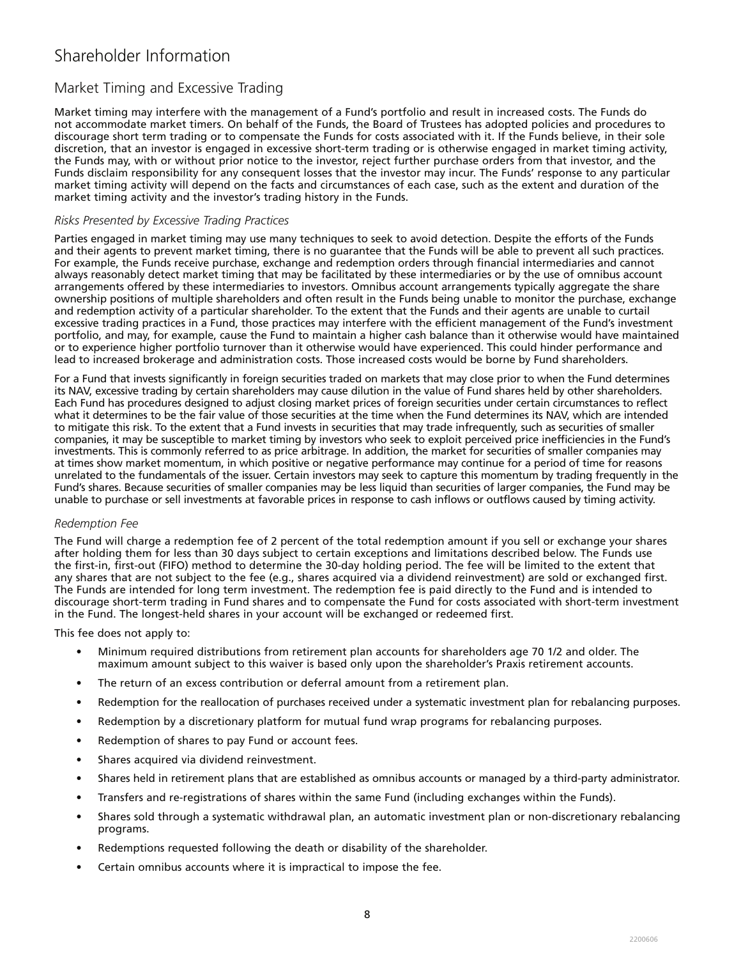## Market Timing and Excessive Trading

Market timing may interfere with the management of a Fund's portfolio and result in increased costs. The Funds do not accommodate market timers. On behalf of the Funds, the Board of Trustees has adopted policies and procedures to discourage short term trading or to compensate the Funds for costs associated with it. If the Funds believe, in their sole discretion, that an investor is engaged in excessive short-term trading or is otherwise engaged in market timing activity, the Funds may, with or without prior notice to the investor, reject further purchase orders from that investor, and the Funds disclaim responsibility for any consequent losses that the investor may incur. The Funds' response to any particular market timing activity will depend on the facts and circumstances of each case, such as the extent and duration of the market timing activity and the investor's trading history in the Funds.

### *Risks Presented by Excessive Trading Practices*

Parties engaged in market timing may use many techniques to seek to avoid detection. Despite the efforts of the Funds and their agents to prevent market timing, there is no guarantee that the Funds will be able to prevent all such practices. For example, the Funds receive purchase, exchange and redemption orders through financial intermediaries and cannot always reasonably detect market timing that may be facilitated by these intermediaries or by the use of omnibus account arrangements offered by these intermediaries to investors. Omnibus account arrangements typically aggregate the share ownership positions of multiple shareholders and often result in the Funds being unable to monitor the purchase, exchange and redemption activity of a particular shareholder. To the extent that the Funds and their agents are unable to curtail excessive trading practices in a Fund, those practices may interfere with the efficient management of the Fund's investment portfolio, and may, for example, cause the Fund to maintain a higher cash balance than it otherwise would have maintained or to experience higher portfolio turnover than it otherwise would have experienced. This could hinder performance and lead to increased brokerage and administration costs. Those increased costs would be borne by Fund shareholders.

For a Fund that invests significantly in foreign securities traded on markets that may close prior to when the Fund determines its NAV, excessive trading by certain shareholders may cause dilution in the value of Fund shares held by other shareholders. Each Fund has procedures designed to adjust closing market prices of foreign securities under certain circumstances to reflect what it determines to be the fair value of those securities at the time when the Fund determines its NAV, which are intended to mitigate this risk. To the extent that a Fund invests in securities that may trade infrequently, such as securities of smaller companies, it may be susceptible to market timing by investors who seek to exploit perceived price inefficiencies in the Fund's investments. This is commonly referred to as price arbitrage. In addition, the market for securities of smaller companies may at times show market momentum, in which positive or negative performance may continue for a period of time for reasons unrelated to the fundamentals of the issuer. Certain investors may seek to capture this momentum by trading frequently in the Fund's shares. Because securities of smaller companies may be less liquid than securities of larger companies, the Fund may be unable to purchase or sell investments at favorable prices in response to cash inflows or outflows caused by timing activity.

### *Redemption Fee*

The Fund will charge a redemption fee of 2 percent of the total redemption amount if you sell or exchange your shares after holding them for less than 30 days subject to certain exceptions and limitations described below. The Funds use the first-in, first-out (FIFO) method to determine the 30-day holding period. The fee will be limited to the extent that any shares that are not subject to the fee (e.g., shares acquired via a dividend reinvestment) are sold or exchanged first. The Funds are intended for long term investment. The redemption fee is paid directly to the Fund and is intended to discourage short-term trading in Fund shares and to compensate the Fund for costs associated with short-term investment in the Fund. The longest-held shares in your account will be exchanged or redeemed first.

This fee does not apply to:

- Minimum required distributions from retirement plan accounts for shareholders age 70 1/2 and older. The maximum amount subject to this waiver is based only upon the shareholder's Praxis retirement accounts.
- The return of an excess contribution or deferral amount from a retirement plan.
- Redemption for the reallocation of purchases received under a systematic investment plan for rebalancing purposes.
- Redemption by a discretionary platform for mutual fund wrap programs for rebalancing purposes.
- Redemption of shares to pay Fund or account fees.
- Shares acquired via dividend reinvestment.
- Shares held in retirement plans that are established as omnibus accounts or managed by a third-party administrator.
- Transfers and re-registrations of shares within the same Fund (including exchanges within the Funds).
- Shares sold through a systematic withdrawal plan, an automatic investment plan or non-discretionary rebalancing programs.
- Redemptions requested following the death or disability of the shareholder.
- Certain omnibus accounts where it is impractical to impose the fee.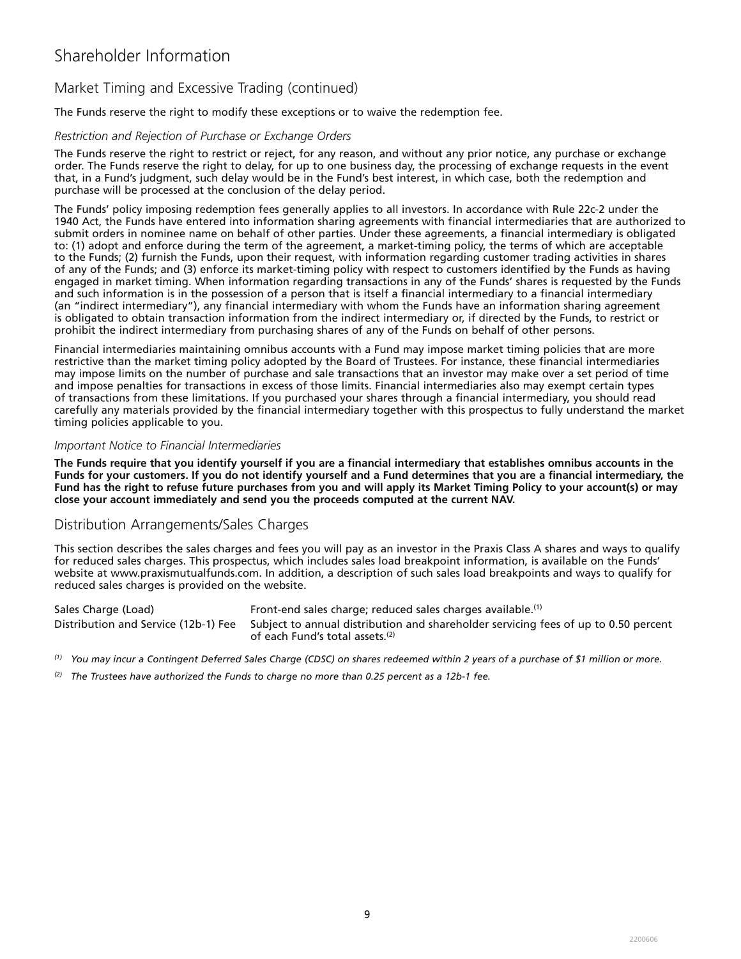## Market Timing and Excessive Trading (continued)

The Funds reserve the right to modify these exceptions or to waive the redemption fee.

### *Restriction and Rejection of Purchase or Exchange Orders*

The Funds reserve the right to restrict or reject, for any reason, and without any prior notice, any purchase or exchange order. The Funds reserve the right to delay, for up to one business day, the processing of exchange requests in the event that, in a Fund's judgment, such delay would be in the Fund's best interest, in which case, both the redemption and purchase will be processed at the conclusion of the delay period.

The Funds' policy imposing redemption fees generally applies to all investors. In accordance with Rule 22c-2 under the 1940 Act, the Funds have entered into information sharing agreements with financial intermediaries that are authorized to submit orders in nominee name on behalf of other parties. Under these agreements, a financial intermediary is obligated to: (1) adopt and enforce during the term of the agreement, a market-timing policy, the terms of which are acceptable to the Funds; (2) furnish the Funds, upon their request, with information regarding customer trading activities in shares of any of the Funds; and (3) enforce its market-timing policy with respect to customers identified by the Funds as having engaged in market timing. When information regarding transactions in any of the Funds' shares is requested by the Funds and such information is in the possession of a person that is itself a financial intermediary to a financial intermediary (an "indirect intermediary"), any financial intermediary with whom the Funds have an information sharing agreement is obligated to obtain transaction information from the indirect intermediary or, if directed by the Funds, to restrict or prohibit the indirect intermediary from purchasing shares of any of the Funds on behalf of other persons.

Financial intermediaries maintaining omnibus accounts with a Fund may impose market timing policies that are more restrictive than the market timing policy adopted by the Board of Trustees. For instance, these financial intermediaries may impose limits on the number of purchase and sale transactions that an investor may make over a set period of time and impose penalties for transactions in excess of those limits. Financial intermediaries also may exempt certain types of transactions from these limitations. If you purchased your shares through a financial intermediary, you should read carefully any materials provided by the financial intermediary together with this prospectus to fully understand the market timing policies applicable to you.

#### *Important Notice to Financial Intermediaries*

**The Funds require that you identify yourself if you are a financial intermediary that establishes omnibus accounts in the Funds for your customers. If you do not identify yourself and a Fund determines that you are a financial intermediary, the Fund has the right to refuse future purchases from you and will apply its Market Timing Policy to your account(s) or may close your account immediately and send you the proceeds computed at the current NAV.** 

### Distribution Arrangements/Sales Charges

This section describes the sales charges and fees you will pay as an investor in the Praxis Class A shares and ways to qualify for reduced sales charges. This prospectus, which includes sales load breakpoint information, is available on the Funds' website at www.praxismutualfunds.com. In addition, a description of such sales load breakpoints and ways to qualify for reduced sales charges is provided on the website.

Sales Charge (Load) Front-end sales charge; reduced sales charges available.(1) Distribution and Service (12b-1) Fee Subject to annual distribution and shareholder servicing fees of up to 0.50 percent of each Fund's total assets.(2)

*(1) You may incur a Contingent Deferred Sales Charge (CDSC) on shares redeemed within 2 years of a purchase of \$1 million or more.*

*(2) The Trustees have authorized the Funds to charge no more than 0.25 percent as a 12b-1 fee.*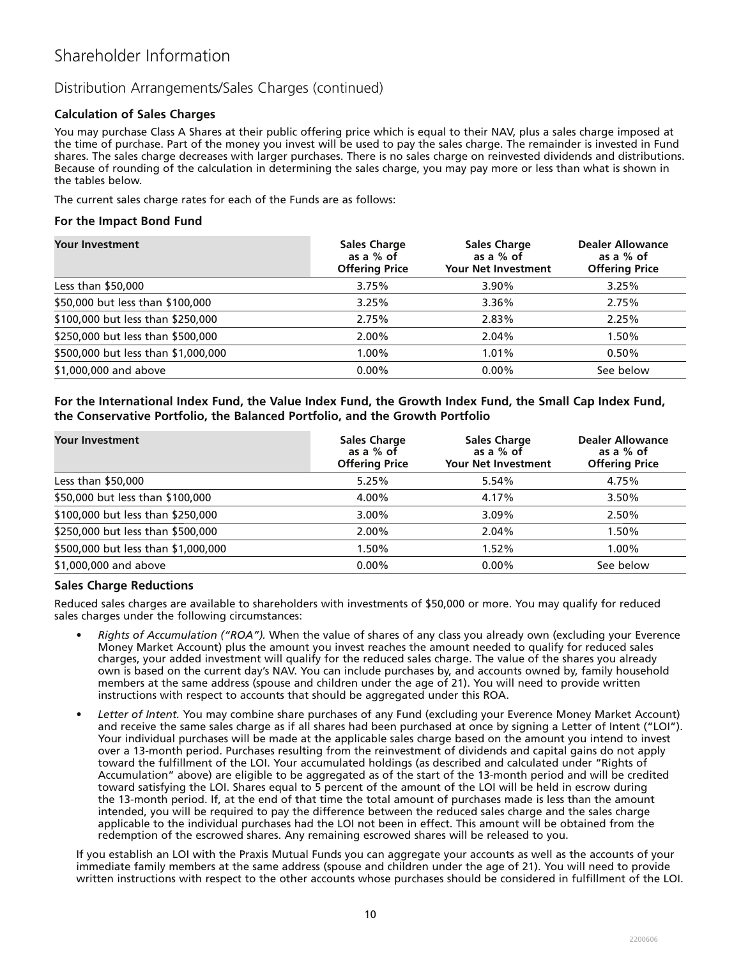## Distribution Arrangements/Sales Charges (continued)

### **Calculation of Sales Charges**

You may purchase Class A Shares at their public offering price which is equal to their NAV, plus a sales charge imposed at the time of purchase. Part of the money you invest will be used to pay the sales charge. The remainder is invested in Fund shares. The sales charge decreases with larger purchases. There is no sales charge on reinvested dividends and distributions. Because of rounding of the calculation in determining the sales charge, you may pay more or less than what is shown in the tables below.

The current sales charge rates for each of the Funds are as follows:

### **For the Impact Bond Fund**

| <b>Your Investment</b>              | <b>Sales Charge</b><br>as a % of<br><b>Offering Price</b> | <b>Sales Charge</b><br>as a % of<br><b>Your Net Investment</b> | <b>Dealer Allowance</b><br>as a % of<br><b>Offering Price</b> |
|-------------------------------------|-----------------------------------------------------------|----------------------------------------------------------------|---------------------------------------------------------------|
| Less than \$50,000                  | 3.75%                                                     | 3.90%                                                          | 3.25%                                                         |
| \$50,000 but less than \$100,000    | 3.25%                                                     | 3.36%                                                          | 2.75%                                                         |
| \$100,000 but less than \$250,000   | 2.75%                                                     | 2.83%                                                          | 2.25%                                                         |
| \$250,000 but less than \$500,000   | 2.00%                                                     | 2.04%                                                          | 1.50%                                                         |
| \$500,000 but less than \$1,000,000 | 1.00%                                                     | 1.01%                                                          | 0.50%                                                         |
| \$1,000,000 and above               | $0.00\%$                                                  | $0.00\%$                                                       | See below                                                     |

### **For the International Index Fund, the Value Index Fund, the Growth Index Fund, the Small Cap Index Fund, the Conservative Portfolio, the Balanced Portfolio, and the Growth Portfolio**

| <b>Your Investment</b>              | <b>Sales Charge</b><br>as a % of<br><b>Offering Price</b> | <b>Sales Charge</b><br>as a % of<br>Your Net Investment | <b>Dealer Allowance</b><br>as a % of<br><b>Offering Price</b> |
|-------------------------------------|-----------------------------------------------------------|---------------------------------------------------------|---------------------------------------------------------------|
| Less than $$50,000$                 | 5.25%                                                     | 5.54%                                                   | 4.75%                                                         |
| \$50,000 but less than \$100,000    | 4.00%                                                     | 4.17%                                                   | 3.50%                                                         |
| \$100,000 but less than \$250,000   | $3.00\%$                                                  | $3.09\%$                                                | 2.50%                                                         |
| \$250,000 but less than \$500,000   | 2.00%                                                     | 2.04%                                                   | 1.50%                                                         |
| \$500,000 but less than \$1,000,000 | 1.50%                                                     | 1.52%                                                   | 1.00%                                                         |
| \$1,000,000 and above               | $0.00\%$                                                  | $0.00\%$                                                | See below                                                     |

### **Sales Charge Reductions**

Reduced sales charges are available to shareholders with investments of \$50,000 or more. You may qualify for reduced sales charges under the following circumstances:

- *Rights of Accumulation ("ROA").* When the value of shares of any class you already own (excluding your Everence Money Market Account) plus the amount you invest reaches the amount needed to qualify for reduced sales charges, your added investment will qualify for the reduced sales charge. The value of the shares you already own is based on the current day's NAV. You can include purchases by, and accounts owned by, family household members at the same address (spouse and children under the age of 21). You will need to provide written instructions with respect to accounts that should be aggregated under this ROA.
- *Letter of Intent.* You may combine share purchases of any Fund (excluding your Everence Money Market Account) and receive the same sales charge as if all shares had been purchased at once by signing a Letter of Intent ("LOI"). Your individual purchases will be made at the applicable sales charge based on the amount you intend to invest over a 13-month period. Purchases resulting from the reinvestment of dividends and capital gains do not apply toward the fulfillment of the LOI. Your accumulated holdings (as described and calculated under "Rights of Accumulation" above) are eligible to be aggregated as of the start of the 13-month period and will be credited toward satisfying the LOI. Shares equal to 5 percent of the amount of the LOI will be held in escrow during the 13-month period. If, at the end of that time the total amount of purchases made is less than the amount intended, you will be required to pay the difference between the reduced sales charge and the sales charge applicable to the individual purchases had the LOI not been in effect. This amount will be obtained from the redemption of the escrowed shares. Any remaining escrowed shares will be released to you.

If you establish an LOI with the Praxis Mutual Funds you can aggregate your accounts as well as the accounts of your immediate family members at the same address (spouse and children under the age of 21). You will need to provide written instructions with respect to the other accounts whose purchases should be considered in fulfillment of the LOI.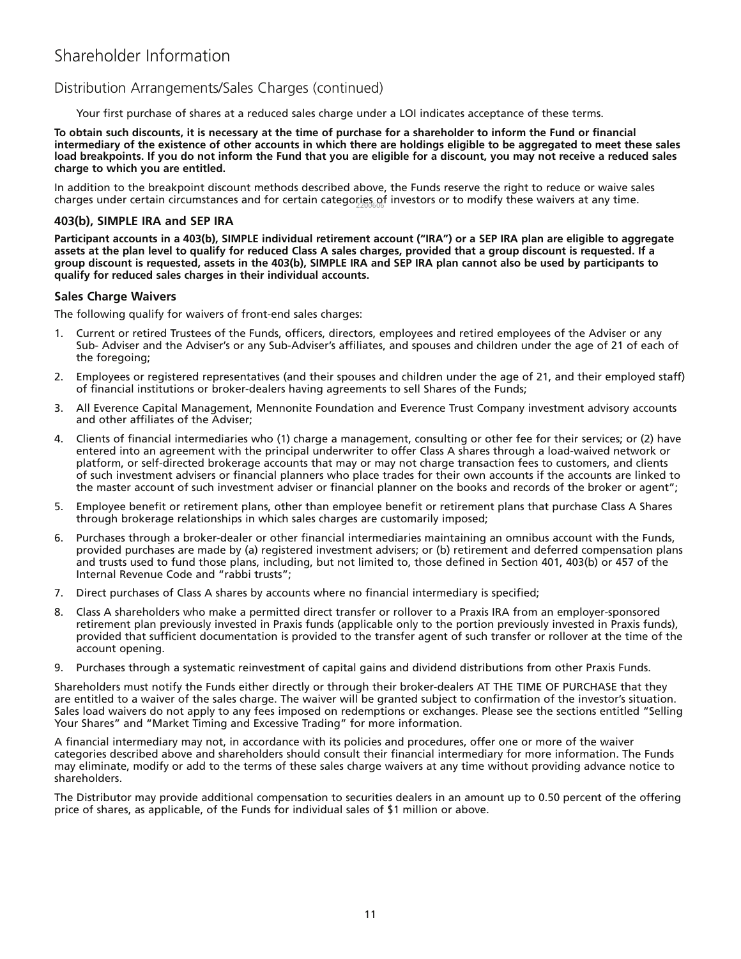### Distribution Arrangements/Sales Charges (continued)

Your first purchase of shares at a reduced sales charge under a LOI indicates acceptance of these terms.

**To obtain such discounts, it is necessary at the time of purchase for a shareholder to inform the Fund or financial intermediary of the existence of other accounts in which there are holdings eligible to be aggregated to meet these sales load breakpoints. If you do not inform the Fund that you are eligible for a discount, you may not receive a reduced sales charge to which you are entitled.** 

In addition to the breakpoint discount methods described above, the Funds reserve the right to reduce or waive sales charges under certain circumstances and for certain catego $\rm{r_{2}g_{666}^{ee}}$ f investors or to modify these waivers at any time.

### **403(b), SIMPLE IRA and SEP IRA**

**Participant accounts in a 403(b), SIMPLE individual retirement account ("IRA") or a SEP IRA plan are eligible to aggregate assets at the plan level to qualify for reduced Class A sales charges, provided that a group discount is requested. If a group discount is requested, assets in the 403(b), SIMPLE IRA and SEP IRA plan cannot also be used by participants to qualify for reduced sales charges in their individual accounts.**

### **Sales Charge Waivers**

The following qualify for waivers of front-end sales charges:

- 1. Current or retired Trustees of the Funds, officers, directors, employees and retired employees of the Adviser or any Sub- Adviser and the Adviser's or any Sub-Adviser's affiliates, and spouses and children under the age of 21 of each of the foregoing;
- 2. Employees or registered representatives (and their spouses and children under the age of 21, and their employed staff) of financial institutions or broker-dealers having agreements to sell Shares of the Funds;
- 3. All Everence Capital Management, Mennonite Foundation and Everence Trust Company investment advisory accounts and other affiliates of the Adviser;
- 4. Clients of financial intermediaries who (1) charge a management, consulting or other fee for their services; or (2) have entered into an agreement with the principal underwriter to offer Class A shares through a load-waived network or platform, or self-directed brokerage accounts that may or may not charge transaction fees to customers, and clients of such investment advisers or financial planners who place trades for their own accounts if the accounts are linked to the master account of such investment adviser or financial planner on the books and records of the broker or agent";
- 5. Employee benefit or retirement plans, other than employee benefit or retirement plans that purchase Class A Shares through brokerage relationships in which sales charges are customarily imposed;
- 6. Purchases through a broker-dealer or other financial intermediaries maintaining an omnibus account with the Funds, provided purchases are made by (a) registered investment advisers; or (b) retirement and deferred compensation plans and trusts used to fund those plans, including, but not limited to, those defined in Section 401, 403(b) or 457 of the Internal Revenue Code and "rabbi trusts";
- 7. Direct purchases of Class A shares by accounts where no financial intermediary is specified;
- 8. Class A shareholders who make a permitted direct transfer or rollover to a Praxis IRA from an employer-sponsored retirement plan previously invested in Praxis funds (applicable only to the portion previously invested in Praxis funds), provided that sufficient documentation is provided to the transfer agent of such transfer or rollover at the time of the account opening.
- 9. Purchases through a systematic reinvestment of capital gains and dividend distributions from other Praxis Funds.

Shareholders must notify the Funds either directly or through their broker-dealers AT THE TIME OF PURCHASE that they are entitled to a waiver of the sales charge. The waiver will be granted subject to confirmation of the investor's situation. Sales load waivers do not apply to any fees imposed on redemptions or exchanges. Please see the sections entitled "Selling Your Shares" and "Market Timing and Excessive Trading" for more information.

A financial intermediary may not, in accordance with its policies and procedures, offer one or more of the waiver categories described above and shareholders should consult their financial intermediary for more information. The Funds may eliminate, modify or add to the terms of these sales charge waivers at any time without providing advance notice to shareholders.

The Distributor may provide additional compensation to securities dealers in an amount up to 0.50 percent of the offering price of shares, as applicable, of the Funds for individual sales of \$1 million or above.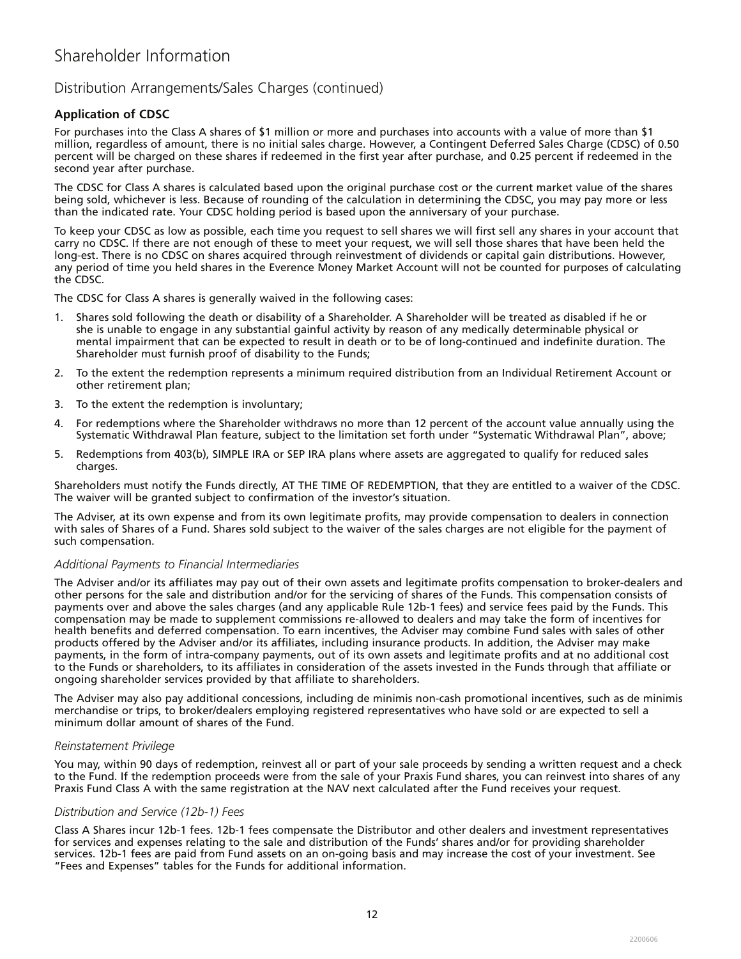## Distribution Arrangements/Sales Charges (continued)

### **Application of CDSC**

For purchases into the Class A shares of \$1 million or more and purchases into accounts with a value of more than \$1 million, regardless of amount, there is no initial sales charge. However, a Contingent Deferred Sales Charge (CDSC) of 0.50 percent will be charged on these shares if redeemed in the first year after purchase, and 0.25 percent if redeemed in the second year after purchase.

The CDSC for Class A shares is calculated based upon the original purchase cost or the current market value of the shares being sold, whichever is less. Because of rounding of the calculation in determining the CDSC, you may pay more or less than the indicated rate. Your CDSC holding period is based upon the anniversary of your purchase.

To keep your CDSC as low as possible, each time you request to sell shares we will first sell any shares in your account that carry no CDSC. If there are not enough of these to meet your request, we will sell those shares that have been held the long-est. There is no CDSC on shares acquired through reinvestment of dividends or capital gain distributions. However, any period of time you held shares in the Everence Money Market Account will not be counted for purposes of calculating the CDSC.

The CDSC for Class A shares is generally waived in the following cases:

- 1. Shares sold following the death or disability of a Shareholder. A Shareholder will be treated as disabled if he or she is unable to engage in any substantial gainful activity by reason of any medically determinable physical or mental impairment that can be expected to result in death or to be of long-continued and indefinite duration. The Shareholder must furnish proof of disability to the Funds;
- 2. To the extent the redemption represents a minimum required distribution from an Individual Retirement Account or other retirement plan;
- 3. To the extent the redemption is involuntary;
- 4. For redemptions where the Shareholder withdraws no more than 12 percent of the account value annually using the Systematic Withdrawal Plan feature, subject to the limitation set forth under "Systematic Withdrawal Plan", above;
- 5. Redemptions from 403(b), SIMPLE IRA or SEP IRA plans where assets are aggregated to qualify for reduced sales charges.

Shareholders must notify the Funds directly, AT THE TIME OF REDEMPTION, that they are entitled to a waiver of the CDSC. The waiver will be granted subject to confirmation of the investor's situation.

The Adviser, at its own expense and from its own legitimate profits, may provide compensation to dealers in connection with sales of Shares of a Fund. Shares sold subject to the waiver of the sales charges are not eligible for the payment of such compensation.

### *Additional Payments to Financial Intermediaries*

The Adviser and/or its affiliates may pay out of their own assets and legitimate profits compensation to broker-dealers and other persons for the sale and distribution and/or for the servicing of shares of the Funds. This compensation consists of payments over and above the sales charges (and any applicable Rule 12b-1 fees) and service fees paid by the Funds. This compensation may be made to supplement commissions re-allowed to dealers and may take the form of incentives for health benefits and deferred compensation. To earn incentives, the Adviser may combine Fund sales with sales of other products offered by the Adviser and/or its affiliates, including insurance products. In addition, the Adviser may make payments, in the form of intra-company payments, out of its own assets and legitimate profits and at no additional cost to the Funds or shareholders, to its affiliates in consideration of the assets invested in the Funds through that affiliate or ongoing shareholder services provided by that affiliate to shareholders.

The Adviser may also pay additional concessions, including de minimis non-cash promotional incentives, such as de minimis merchandise or trips, to broker/dealers employing registered representatives who have sold or are expected to sell a minimum dollar amount of shares of the Fund.

#### *Reinstatement Privilege*

You may, within 90 days of redemption, reinvest all or part of your sale proceeds by sending a written request and a check to the Fund. If the redemption proceeds were from the sale of your Praxis Fund shares, you can reinvest into shares of any Praxis Fund Class A with the same registration at the NAV next calculated after the Fund receives your request.

### *Distribution and Service (12b-1) Fees*

Class A Shares incur 12b-1 fees. 12b-1 fees compensate the Distributor and other dealers and investment representatives for services and expenses relating to the sale and distribution of the Funds' shares and/or for providing shareholder services. 12b-1 fees are paid from Fund assets on an on-going basis and may increase the cost of your investment. See "Fees and Expenses" tables for the Funds for additional information.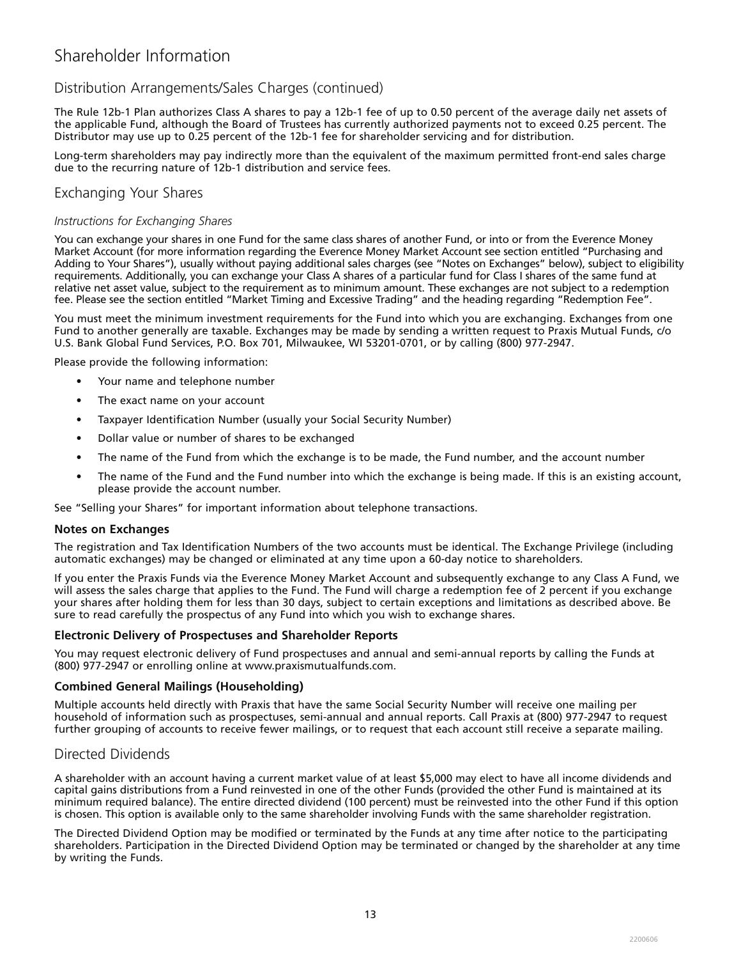## Distribution Arrangements/Sales Charges (continued)

The Rule 12b-1 Plan authorizes Class A shares to pay a 12b-1 fee of up to 0.50 percent of the average daily net assets of the applicable Fund, although the Board of Trustees has currently authorized payments not to exceed 0.25 percent. The Distributor may use up to 0.25 percent of the 12b-1 fee for shareholder servicing and for distribution.

Long-term shareholders may pay indirectly more than the equivalent of the maximum permitted front-end sales charge due to the recurring nature of 12b-1 distribution and service fees.

### Exchanging Your Shares

### *Instructions for Exchanging Shares*

You can exchange your shares in one Fund for the same class shares of another Fund, or into or from the Everence Money Market Account (for more information regarding the Everence Money Market Account see section entitled "Purchasing and Adding to Your Shares"), usually without paying additional sales charges (see "Notes on Exchanges" below), subject to eligibility requirements. Additionally, you can exchange your Class A shares of a particular fund for Class I shares of the same fund at relative net asset value, subject to the requirement as to minimum amount. These exchanges are not subject to a redemption fee. Please see the section entitled "Market Timing and Excessive Trading" and the heading regarding "Redemption Fee".

You must meet the minimum investment requirements for the Fund into which you are exchanging. Exchanges from one Fund to another generally are taxable. Exchanges may be made by sending a written request to Praxis Mutual Funds, c/o U.S. Bank Global Fund Services, P.O. Box 701, Milwaukee, WI 53201-0701, or by calling (800) 977-2947.

Please provide the following information:

- Your name and telephone number
- The exact name on your account
- Taxpayer Identification Number (usually your Social Security Number)
- Dollar value or number of shares to be exchanged
- The name of the Fund from which the exchange is to be made, the Fund number, and the account number
- The name of the Fund and the Fund number into which the exchange is being made. If this is an existing account, please provide the account number.

See "Selling your Shares" for important information about telephone transactions.

#### **Notes on Exchanges**

The registration and Tax Identification Numbers of the two accounts must be identical. The Exchange Privilege (including automatic exchanges) may be changed or eliminated at any time upon a 60-day notice to shareholders.

If you enter the Praxis Funds via the Everence Money Market Account and subsequently exchange to any Class A Fund, we will assess the sales charge that applies to the Fund. The Fund will charge a redemption fee of 2 percent if you exchange your shares after holding them for less than 30 days, subject to certain exceptions and limitations as described above. Be sure to read carefully the prospectus of any Fund into which you wish to exchange shares.

### **Electronic Delivery of Prospectuses and Shareholder Reports**

You may request electronic delivery of Fund prospectuses and annual and semi-annual reports by calling the Funds at (800) 977-2947 or enrolling online at www.praxismutualfunds.com.

#### **Combined General Mailings (Householding)**

Multiple accounts held directly with Praxis that have the same Social Security Number will receive one mailing per household of information such as prospectuses, semi-annual and annual reports. Call Praxis at (800) 977-2947 to request further grouping of accounts to receive fewer mailings, or to request that each account still receive a separate mailing.

### Directed Dividends

A shareholder with an account having a current market value of at least \$5,000 may elect to have all income dividends and capital gains distributions from a Fund reinvested in one of the other Funds (provided the other Fund is maintained at its minimum required balance). The entire directed dividend (100 percent) must be reinvested into the other Fund if this option is chosen. This option is available only to the same shareholder involving Funds with the same shareholder registration.

The Directed Dividend Option may be modified or terminated by the Funds at any time after notice to the participating shareholders. Participation in the Directed Dividend Option may be terminated or changed by the shareholder at any time by writing the Funds.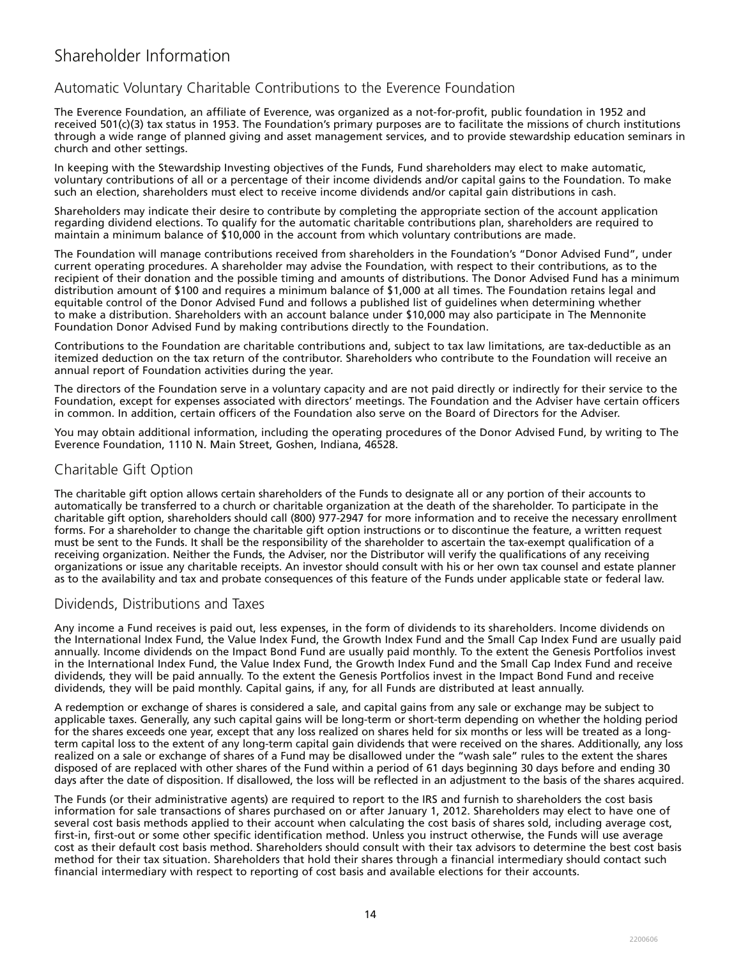## Automatic Voluntary Charitable Contributions to the Everence Foundation

The Everence Foundation, an affiliate of Everence, was organized as a not-for-profit, public foundation in 1952 and received 501(c)(3) tax status in 1953. The Foundation's primary purposes are to facilitate the missions of church institutions through a wide range of planned giving and asset management services, and to provide stewardship education seminars in church and other settings.

In keeping with the Stewardship Investing objectives of the Funds, Fund shareholders may elect to make automatic, voluntary contributions of all or a percentage of their income dividends and/or capital gains to the Foundation. To make such an election, shareholders must elect to receive income dividends and/or capital gain distributions in cash.

Shareholders may indicate their desire to contribute by completing the appropriate section of the account application regarding dividend elections. To qualify for the automatic charitable contributions plan, shareholders are required to maintain a minimum balance of \$10,000 in the account from which voluntary contributions are made.

The Foundation will manage contributions received from shareholders in the Foundation's "Donor Advised Fund", under current operating procedures. A shareholder may advise the Foundation, with respect to their contributions, as to the recipient of their donation and the possible timing and amounts of distributions. The Donor Advised Fund has a minimum distribution amount of \$100 and requires a minimum balance of \$1,000 at all times. The Foundation retains legal and equitable control of the Donor Advised Fund and follows a published list of guidelines when determining whether to make a distribution. Shareholders with an account balance under \$10,000 may also participate in The Mennonite Foundation Donor Advised Fund by making contributions directly to the Foundation.

Contributions to the Foundation are charitable contributions and, subject to tax law limitations, are tax-deductible as an itemized deduction on the tax return of the contributor. Shareholders who contribute to the Foundation will receive an annual report of Foundation activities during the year.

The directors of the Foundation serve in a voluntary capacity and are not paid directly or indirectly for their service to the Foundation, except for expenses associated with directors' meetings. The Foundation and the Adviser have certain officers in common. In addition, certain officers of the Foundation also serve on the Board of Directors for the Adviser.

You may obtain additional information, including the operating procedures of the Donor Advised Fund, by writing to The Everence Foundation, 1110 N. Main Street, Goshen, Indiana, 46528.

## Charitable Gift Option

The charitable gift option allows certain shareholders of the Funds to designate all or any portion of their accounts to automatically be transferred to a church or charitable organization at the death of the shareholder. To participate in the charitable gift option, shareholders should call (800) 977-2947 for more information and to receive the necessary enrollment forms. For a shareholder to change the charitable gift option instructions or to discontinue the feature, a written request must be sent to the Funds. It shall be the responsibility of the shareholder to ascertain the tax-exempt qualification of a receiving organization. Neither the Funds, the Adviser, nor the Distributor will verify the qualifications of any receiving organizations or issue any charitable receipts. An investor should consult with his or her own tax counsel and estate planner as to the availability and tax and probate consequences of this feature of the Funds under applicable state or federal law.

### Dividends, Distributions and Taxes

Any income a Fund receives is paid out, less expenses, in the form of dividends to its shareholders. Income dividends on the International Index Fund, the Value Index Fund, the Growth Index Fund and the Small Cap Index Fund are usually paid annually. Income dividends on the Impact Bond Fund are usually paid monthly. To the extent the Genesis Portfolios invest in the International Index Fund, the Value Index Fund, the Growth Index Fund and the Small Cap Index Fund and receive dividends, they will be paid annually. To the extent the Genesis Portfolios invest in the Impact Bond Fund and receive dividends, they will be paid monthly. Capital gains, if any, for all Funds are distributed at least annually.

A redemption or exchange of shares is considered a sale, and capital gains from any sale or exchange may be subject to applicable taxes. Generally, any such capital gains will be long-term or short-term depending on whether the holding period for the shares exceeds one year, except that any loss realized on shares held for six months or less will be treated as a longterm capital loss to the extent of any long-term capital gain dividends that were received on the shares. Additionally, any loss realized on a sale or exchange of shares of a Fund may be disallowed under the "wash sale" rules to the extent the shares disposed of are replaced with other shares of the Fund within a period of 61 days beginning 30 days before and ending 30 days after the date of disposition. If disallowed, the loss will be reflected in an adjustment to the basis of the shares acquired.

The Funds (or their administrative agents) are required to report to the IRS and furnish to shareholders the cost basis information for sale transactions of shares purchased on or after January 1, 2012. Shareholders may elect to have one of several cost basis methods applied to their account when calculating the cost basis of shares sold, including average cost, first-in, first-out or some other specific identification method. Unless you instruct otherwise, the Funds will use average cost as their default cost basis method. Shareholders should consult with their tax advisors to determine the best cost basis method for their tax situation. Shareholders that hold their shares through a financial intermediary should contact such financial intermediary with respect to reporting of cost basis and available elections for their accounts.